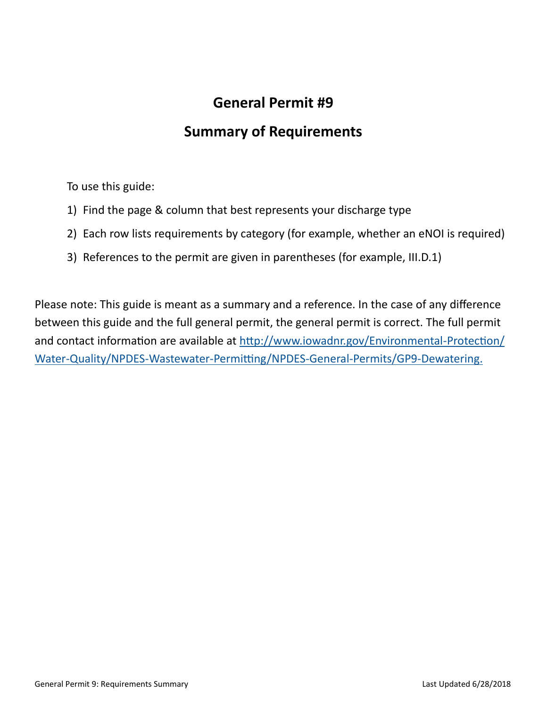## **General Permit #9**

## **Summary of Requirements**

To use this guide:

- 1) Find the page & column that best represents your discharge type
- 2) Each row lists requirements by category (for example, whether an eNOI is required)
- 3) References to the permit are given in parentheses (for example, III.D.1)

Please note: This guide is meant as a summary and a reference. In the case of any difference between this guide and the full general permit, the general permit is correct. The full permit and contact information are available at http://www.iowadnr.gov/Environmental-Protection/ Water-Quality/NPDES-Wastewater-Permitting/NPDES-General-Permits/GP9-Dewatering.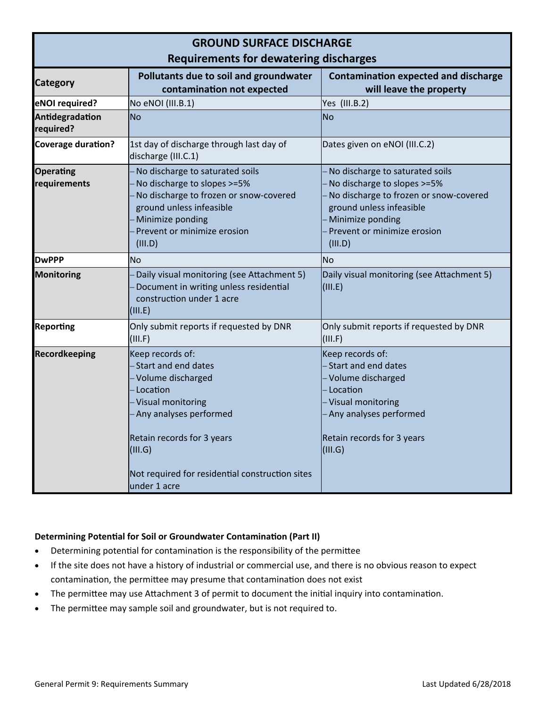| <b>GROUND SURFACE DISCHARGE</b><br><b>Requirements for dewatering discharges</b> |                                                                                                                                                                                                                                               |                                                                                                                                                                                                    |  |
|----------------------------------------------------------------------------------|-----------------------------------------------------------------------------------------------------------------------------------------------------------------------------------------------------------------------------------------------|----------------------------------------------------------------------------------------------------------------------------------------------------------------------------------------------------|--|
| <b>Category</b>                                                                  | Pollutants due to soil and groundwater<br>contamination not expected                                                                                                                                                                          | <b>Contamination expected and discharge</b><br>will leave the property                                                                                                                             |  |
| eNOI required?                                                                   | No eNOI (III.B.1)                                                                                                                                                                                                                             | Yes (III.B.2)                                                                                                                                                                                      |  |
| Antidegradation<br>required?                                                     | <b>No</b>                                                                                                                                                                                                                                     | No                                                                                                                                                                                                 |  |
| <b>Coverage duration?</b>                                                        | 1st day of discharge through last day of<br>discharge (III.C.1)                                                                                                                                                                               | Dates given on eNOI (III.C.2)                                                                                                                                                                      |  |
| <b>Operating</b><br>requirements                                                 | - No discharge to saturated soils<br>No discharge to slopes >=5%<br>No discharge to frozen or snow-covered<br>ground unless infeasible<br>Minimize ponding<br>Prevent or minimize erosion<br>(III.D)                                          | No discharge to saturated soils<br>No discharge to slopes >=5%<br>No discharge to frozen or snow-covered<br>ground unless infeasible<br>Minimize ponding<br>Prevent or minimize erosion<br>(III.D) |  |
| <b>DwPPP</b>                                                                     | <b>No</b>                                                                                                                                                                                                                                     | No                                                                                                                                                                                                 |  |
| Monitoring                                                                       | Daily visual monitoring (see Attachment 5)<br>Document in writing unless residential<br>construction under 1 acre<br>(III.E)                                                                                                                  | Daily visual monitoring (see Attachment 5)<br>(III.E)                                                                                                                                              |  |
| <b>Reporting</b>                                                                 | Only submit reports if requested by DNR<br>(III.F)                                                                                                                                                                                            | Only submit reports if requested by DNR<br>(III.F)                                                                                                                                                 |  |
| <b>Recordkeeping</b>                                                             | Keep records of:<br>- Start and end dates<br>- Volume discharged<br>- Location<br>- Visual monitoring<br>- Any analyses performed<br>Retain records for 3 years<br>(III.G)<br>Not required for residential construction sites<br>under 1 acre | Keep records of:<br>- Start and end dates<br>- Volume discharged<br>- Location<br>- Visual monitoring<br>- Any analyses performed<br>Retain records for 3 years<br>$\vert$ (III.G)                 |  |

## **Determining PotenƟal for Soil or Groundwater ContaminaƟon (Part II)**

- Determining potential for contamination is the responsibility of the permittee
- If the site does not have a history of industrial or commercial use, and there is no obvious reason to expect contamination, the permittee may presume that contamination does not exist
- The permittee may use Attachment 3 of permit to document the initial inquiry into contamination.
- The permittee may sample soil and groundwater, but is not required to.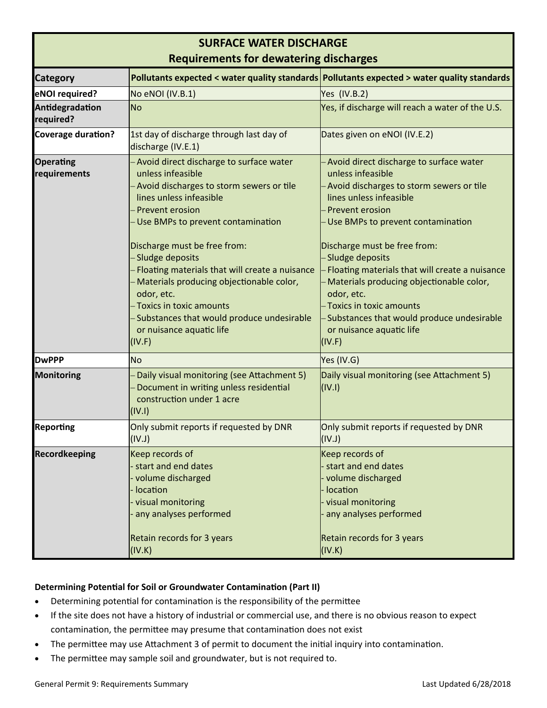| <b>SURFACE WATER DISCHARGE</b>                |                                                                                                                                                                                                                                                                                                                                                                                                                                                                                   |                                                                                                                                                                                                                                                                                                                                                                                                                                                                                 |  |
|-----------------------------------------------|-----------------------------------------------------------------------------------------------------------------------------------------------------------------------------------------------------------------------------------------------------------------------------------------------------------------------------------------------------------------------------------------------------------------------------------------------------------------------------------|---------------------------------------------------------------------------------------------------------------------------------------------------------------------------------------------------------------------------------------------------------------------------------------------------------------------------------------------------------------------------------------------------------------------------------------------------------------------------------|--|
| <b>Requirements for dewatering discharges</b> |                                                                                                                                                                                                                                                                                                                                                                                                                                                                                   |                                                                                                                                                                                                                                                                                                                                                                                                                                                                                 |  |
| <b>Category</b>                               |                                                                                                                                                                                                                                                                                                                                                                                                                                                                                   | Pollutants expected < water quality standards Pollutants expected > water quality standards                                                                                                                                                                                                                                                                                                                                                                                     |  |
| eNOI required?                                | No eNOI (IV.B.1)                                                                                                                                                                                                                                                                                                                                                                                                                                                                  | Yes (IV.B.2)                                                                                                                                                                                                                                                                                                                                                                                                                                                                    |  |
| Antidegradation<br>required?                  | <b>No</b>                                                                                                                                                                                                                                                                                                                                                                                                                                                                         | Yes, if discharge will reach a water of the U.S.                                                                                                                                                                                                                                                                                                                                                                                                                                |  |
| Coverage duration?                            | 1st day of discharge through last day of<br>discharge (IV.E.1)                                                                                                                                                                                                                                                                                                                                                                                                                    | Dates given on eNOI (IV.E.2)                                                                                                                                                                                                                                                                                                                                                                                                                                                    |  |
| <b>Operating</b><br>requirements              | Avoid direct discharge to surface water<br>unless infeasible<br>- Avoid discharges to storm sewers or tile<br>lines unless infeasible<br>Prevent erosion<br>-Use BMPs to prevent contamination<br>Discharge must be free from:<br>-Sludge deposits<br>- Floating materials that will create a nuisance<br>Materials producing objectionable color,<br>odor, etc.<br>- Toxics in toxic amounts<br>-Substances that would produce undesirable<br>or nuisance aquatic life<br>(IV.F) | - Avoid direct discharge to surface water<br>unless infeasible<br>Avoid discharges to storm sewers or tile<br>lines unless infeasible<br>Prevent erosion<br>Use BMPs to prevent contamination<br>Discharge must be free from:<br>- Sludge deposits<br>Floating materials that will create a nuisance<br>Materials producing objectionable color,<br>odor, etc.<br>- Toxics in toxic amounts<br>-Substances that would produce undesirable<br>or nuisance aquatic life<br>(IV.F) |  |
| <b>DwPPP</b>                                  | <b>No</b>                                                                                                                                                                                                                                                                                                                                                                                                                                                                         | Yes (IV.G)                                                                                                                                                                                                                                                                                                                                                                                                                                                                      |  |
| <b>Monitoring</b>                             | -Daily visual monitoring (see Attachment 5)<br>Document in writing unless residential<br>construction under 1 acre<br>(IV.1)                                                                                                                                                                                                                                                                                                                                                      | Daily visual monitoring (see Attachment 5)<br>(IV.1)                                                                                                                                                                                                                                                                                                                                                                                                                            |  |
| <b>Reporting</b>                              | Only submit reports if requested by DNR<br>(IV.1)                                                                                                                                                                                                                                                                                                                                                                                                                                 | Only submit reports if requested by DNR<br>(IV.1)                                                                                                                                                                                                                                                                                                                                                                                                                               |  |
| <b>Recordkeeping</b>                          | Keep records of<br>start and end dates<br>volume discharged<br>location<br>visual monitoring<br>any analyses performed<br><b>Retain records for 3 years</b><br>(IV.K)                                                                                                                                                                                                                                                                                                             | Keep records of<br>start and end dates<br>volume discharged<br>location<br>visual monitoring<br>any analyses performed<br>Retain records for 3 years<br>(IV.K)                                                                                                                                                                                                                                                                                                                  |  |

## **Determining PotenƟal for Soil or Groundwater ContaminaƟon (Part II)**

- Determining potential for contamination is the responsibility of the permittee
- If the site does not have a history of industrial or commercial use, and there is no obvious reason to expect contamination, the permittee may presume that contamination does not exist
- The permittee may use Attachment 3 of permit to document the initial inquiry into contamination.
- The permittee may sample soil and groundwater, but is not required to.